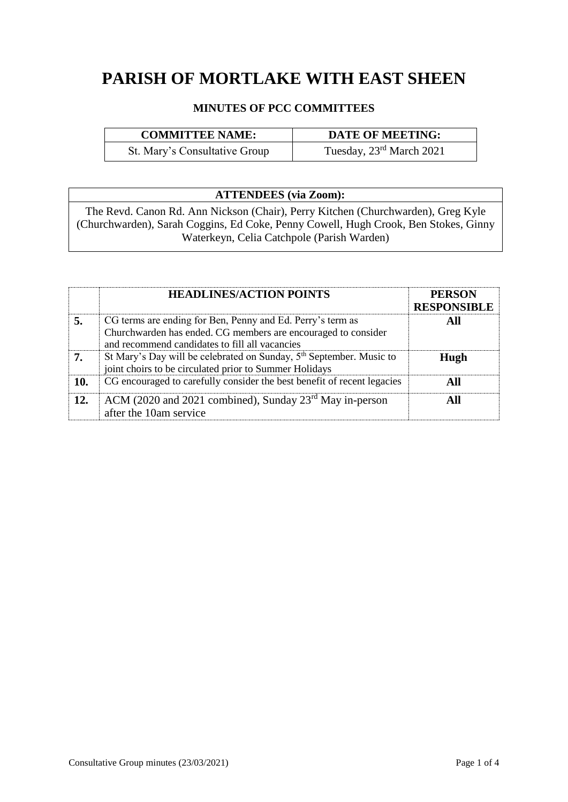# **PARISH OF MORTLAKE WITH EAST SHEEN**

## **MINUTES OF PCC COMMITTEES**

| <b>COMMITTEE NAME:</b> | <b>\TE OF MEETING:</b> |
|------------------------|------------------------|
| --                     | - - - - - -<br>- - - - |

St. Mary's Consultative Group

Tuesday, 23<sup>rd</sup> March 2021

# **ATTENDEES (via Zoom):**

The Revd. Canon Rd. Ann Nickson (Chair), Perry Kitchen (Churchwarden), Greg Kyle (Churchwarden), Sarah Coggins, Ed Coke, Penny Cowell, Hugh Crook, Ben Stokes, Ginny Waterkeyn, Celia Catchpole (Parish Warden)

|     | <b>HEADLINES/ACTION POINTS</b>                                                                                                                                                | <b>PERSON</b><br><b>RESPONSIBLE</b> |
|-----|-------------------------------------------------------------------------------------------------------------------------------------------------------------------------------|-------------------------------------|
|     | CG terms are ending for Ben, Penny and Ed. Perry's term as<br>Churchwarden has ended. CG members are encouraged to consider<br>and recommend candidates to fill all vacancies | All                                 |
|     | St Mary's Day will be celebrated on Sunday, 5 <sup>th</sup> September. Music to<br>joint choirs to be circulated prior to Summer Holidays                                     | Hugh                                |
| 10. | CG encouraged to carefully consider the best benefit of recent legacies                                                                                                       | All                                 |
| 12. | ACM (2020 and 2021 combined), Sunday $23rd$ May in-person<br>after the 10am service                                                                                           | All                                 |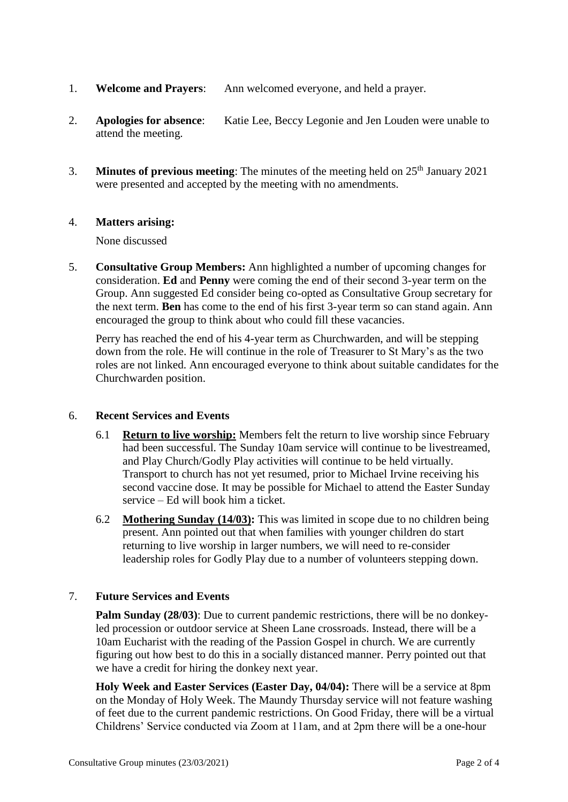- 1. **Welcome and Prayers**: Ann welcomed everyone, and held a prayer.
- 2. **Apologies for absence**: Katie Lee, Beccy Legonie and Jen Louden were unable to attend the meeting.
- 3. **Minutes of previous meeting**: The minutes of the meeting held on 25th January 2021 were presented and accepted by the meeting with no amendments.

#### 4. **Matters arising:**

None discussed

5. **Consultative Group Members:** Ann highlighted a number of upcoming changes for consideration. **Ed** and **Penny** were coming the end of their second 3-year term on the Group. Ann suggested Ed consider being co-opted as Consultative Group secretary for the next term. **Ben** has come to the end of his first 3-year term so can stand again. Ann encouraged the group to think about who could fill these vacancies.

Perry has reached the end of his 4-year term as Churchwarden, and will be stepping down from the role. He will continue in the role of Treasurer to St Mary's as the two roles are not linked. Ann encouraged everyone to think about suitable candidates for the Churchwarden position.

#### 6. **Recent Services and Events**

- 6.1 **Return to live worship:** Members felt the return to live worship since February had been successful. The Sunday 10am service will continue to be livestreamed, and Play Church/Godly Play activities will continue to be held virtually. Transport to church has not yet resumed, prior to Michael Irvine receiving his second vaccine dose. It may be possible for Michael to attend the Easter Sunday service – Ed will book him a ticket.
- 6.2 **Mothering Sunday (14/03):** This was limited in scope due to no children being present. Ann pointed out that when families with younger children do start returning to live worship in larger numbers, we will need to re-consider leadership roles for Godly Play due to a number of volunteers stepping down.

#### 7. **Future Services and Events**

**Palm Sunday (28/03)**: Due to current pandemic restrictions, there will be no donkeyled procession or outdoor service at Sheen Lane crossroads. Instead, there will be a 10am Eucharist with the reading of the Passion Gospel in church. We are currently figuring out how best to do this in a socially distanced manner. Perry pointed out that we have a credit for hiring the donkey next year.

**Holy Week and Easter Services (Easter Day, 04/04):** There will be a service at 8pm on the Monday of Holy Week. The Maundy Thursday service will not feature washing of feet due to the current pandemic restrictions. On Good Friday, there will be a virtual Childrens' Service conducted via Zoom at 11am, and at 2pm there will be a one-hour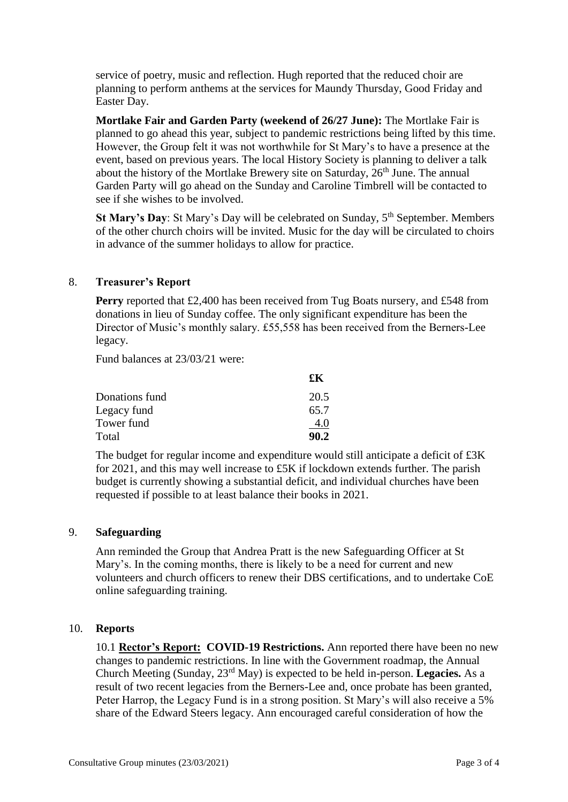service of poetry, music and reflection. Hugh reported that the reduced choir are planning to perform anthems at the services for Maundy Thursday, Good Friday and Easter Day.

**Mortlake Fair and Garden Party (weekend of 26/27 June):** The Mortlake Fair is planned to go ahead this year, subject to pandemic restrictions being lifted by this time. However, the Group felt it was not worthwhile for St Mary's to have a presence at the event, based on previous years. The local History Society is planning to deliver a talk about the history of the Mortlake Brewery site on Saturday,  $26<sup>th</sup>$  June. The annual Garden Party will go ahead on the Sunday and Caroline Timbrell will be contacted to see if she wishes to be involved.

**St Mary's Day**: St Mary's Day will be celebrated on Sunday, 5<sup>th</sup> September. Members of the other church choirs will be invited. Music for the day will be circulated to choirs in advance of the summer holidays to allow for practice.

#### 8. **Treasurer's Report**

**Perry** reported that £2,400 has been received from Tug Boats nursery, and £548 from donations in lieu of Sunday coffee. The only significant expenditure has been the Director of Music's monthly salary. £55,558 has been received from the Berners-Lee legacy.

Fund balances at 23/03/21 were:

|                | £К   |
|----------------|------|
| Donations fund | 20.5 |
| Legacy fund    | 65.7 |
| Tower fund     | 4.0  |
| Total          | 90.2 |

The budget for regular income and expenditure would still anticipate a deficit of £3K for 2021, and this may well increase to £5K if lockdown extends further. The parish budget is currently showing a substantial deficit, and individual churches have been requested if possible to at least balance their books in 2021.

#### 9. **Safeguarding**

Ann reminded the Group that Andrea Pratt is the new Safeguarding Officer at St Mary's. In the coming months, there is likely to be a need for current and new volunteers and church officers to renew their DBS certifications, and to undertake CoE online safeguarding training.

#### 10. **Reports**

10.1 **Rector's Report: COVID-19 Restrictions.** Ann reported there have been no new changes to pandemic restrictions. In line with the Government roadmap, the Annual Church Meeting (Sunday, 23rd May) is expected to be held in-person. **Legacies.** As a result of two recent legacies from the Berners-Lee and, once probate has been granted, Peter Harrop, the Legacy Fund is in a strong position. St Mary's will also receive a 5% share of the Edward Steers legacy. Ann encouraged careful consideration of how the